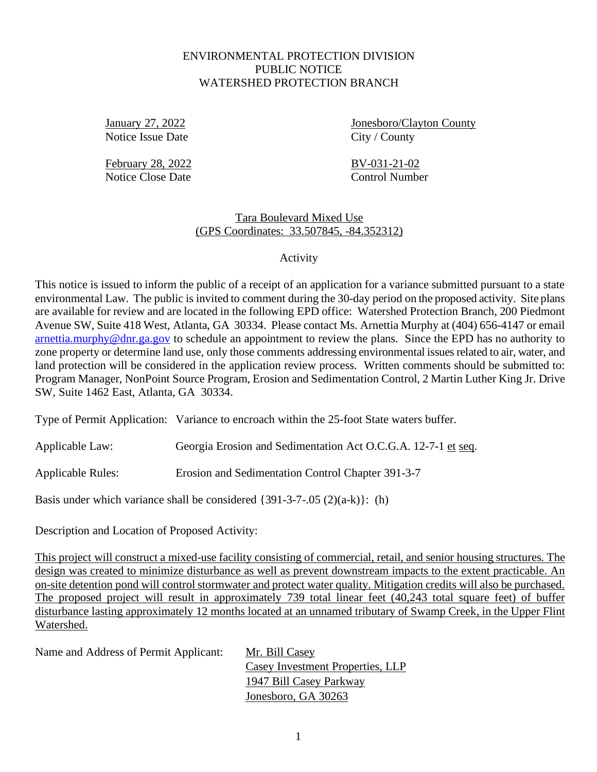## ENVIRONMENTAL PROTECTION DIVISION PUBLIC NOTICE WATERSHED PROTECTION BRANCH

Notice Issue Date City / County

January 27, 2022 Jonesboro/Clayton County

February 28, 2022 BV-031-21-02 Notice Close Date Control Number

Tara Boulevard Mixed Use (GPS Coordinates: 33.507845, -84.352312)

Activity

This notice is issued to inform the public of a receipt of an application for a variance submitted pursuant to a state environmental Law. The public is invited to comment during the 30-day period on the proposed activity. Site plans are available for review and are located in the following EPD office: Watershed Protection Branch, 200 Piedmont Avenue SW, Suite 418 West, Atlanta, GA 30334. Please contact Ms. Arnettia Murphy at (404) 656-4147 or email [arnettia.murphy@dnr.ga.gov](mailto:arnettia.murphy@dnr.ga.gov) to schedule an appointment to review the plans. Since the EPD has no authority to zone property or determine land use, only those comments addressing environmental issuesrelated to air, water, and land protection will be considered in the application review process. Written comments should be submitted to: Program Manager, NonPoint Source Program, Erosion and Sedimentation Control, 2 Martin Luther King Jr. Drive SW, Suite 1462 East, Atlanta, GA 30334.

Type of Permit Application: Variance to encroach within the 25-foot State waters buffer.

Applicable Law: Georgia Erosion and Sedimentation Act O.C.G.A. 12-7-1 et seq.

Applicable Rules: Erosion and Sedimentation Control Chapter 391-3-7

Basis under which variance shall be considered  $\{391-3-7-.05 (2)(a-k)\}\$ : (h)

Description and Location of Proposed Activity:

This project will construct a mixed-use facility consisting of commercial, retail, and senior housing structures. The design was created to minimize disturbance as well as prevent downstream impacts to the extent practicable. An on-site detention pond will control stormwater and protect water quality. Mitigation credits will also be purchased. The proposed project will result in approximately 739 total linear feet (40,243 total square feet) of buffer disturbance lasting approximately 12 months located at an unnamed tributary of Swamp Creek, in the Upper Flint Watershed.

Name and Address of Permit Applicant: Mr. Bill Casey

Casey Investment Properties, LLP 1947 Bill Casey Parkway Jonesboro, GA 30263